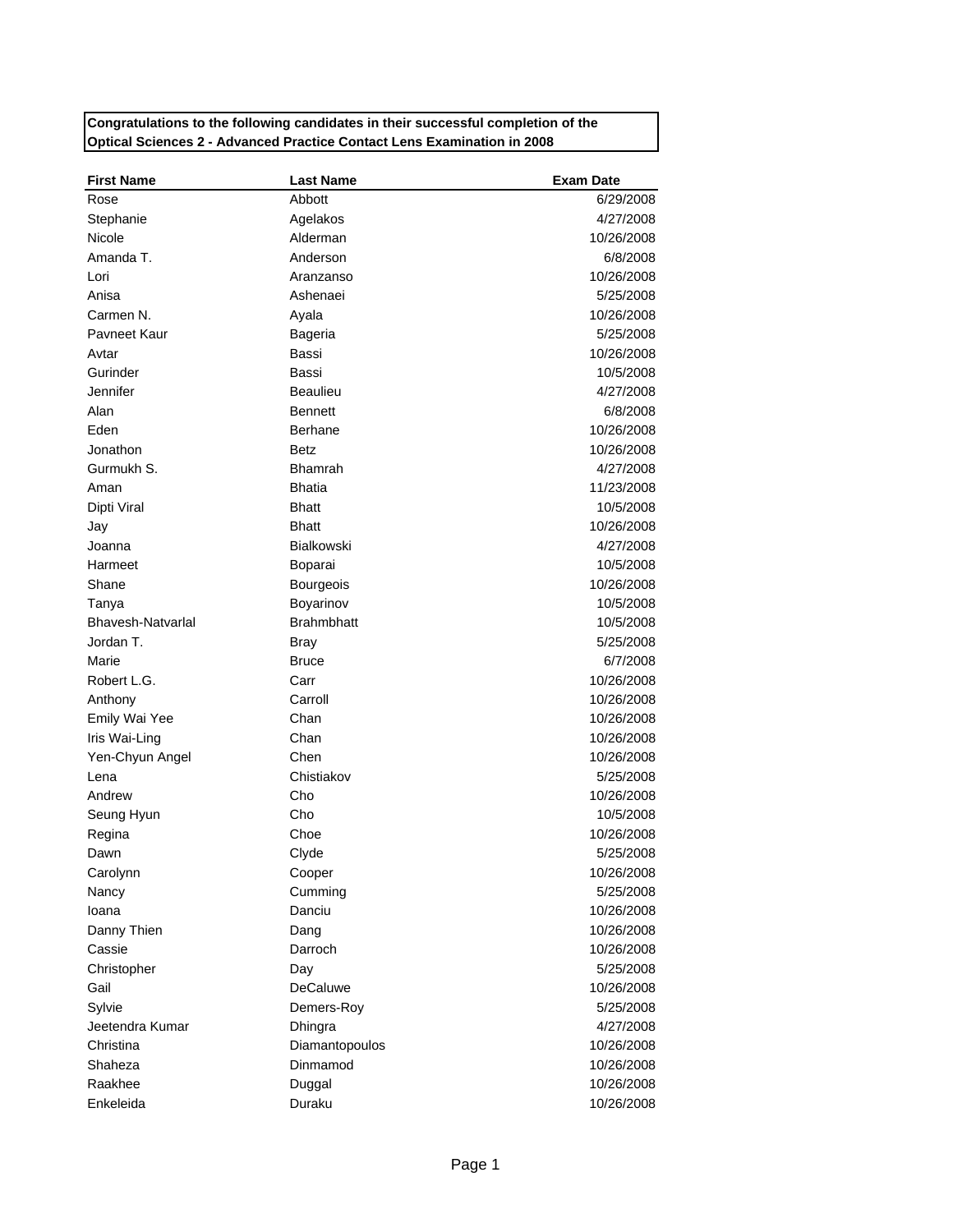## **Congratulations to the following candidates in their successful completion of the Optical Sciences 2 - Advanced Practice Contact Lens Examination in 2008**

| <b>First Name</b> | <b>Last Name</b>  | <b>Exam Date</b> |
|-------------------|-------------------|------------------|
| Rose              | Abbott            | 6/29/2008        |
| Stephanie         | Agelakos          | 4/27/2008        |
| Nicole            | Alderman          | 10/26/2008       |
| Amanda T.         | Anderson          | 6/8/2008         |
| Lori              | Aranzanso         | 10/26/2008       |
| Anisa             | Ashenaei          | 5/25/2008        |
| Carmen N.         | Ayala             | 10/26/2008       |
| Payneet Kaur      | Bageria           | 5/25/2008        |
| Avtar             | Bassi             | 10/26/2008       |
| Gurinder          | Bassi             | 10/5/2008        |
| Jennifer          | <b>Beaulieu</b>   | 4/27/2008        |
| Alan              | <b>Bennett</b>    | 6/8/2008         |
| Eden              | <b>Berhane</b>    | 10/26/2008       |
| Jonathon          | <b>Betz</b>       | 10/26/2008       |
| Gurmukh S.        | <b>Bhamrah</b>    | 4/27/2008        |
| Aman              | <b>Bhatia</b>     | 11/23/2008       |
| Dipti Viral       | <b>Bhatt</b>      | 10/5/2008        |
| Jay               | <b>Bhatt</b>      | 10/26/2008       |
| Joanna            | <b>Bialkowski</b> | 4/27/2008        |
| Harmeet           | Boparai           | 10/5/2008        |
| Shane             | <b>Bourgeois</b>  | 10/26/2008       |
| Tanya             | Boyarinov         | 10/5/2008        |
| Bhavesh-Natvarlal | <b>Brahmbhatt</b> | 10/5/2008        |
| Jordan T.         | Bray              | 5/25/2008        |
| Marie             | <b>Bruce</b>      | 6/7/2008         |
| Robert L.G.       | Carr              | 10/26/2008       |
| Anthony           | Carroll           | 10/26/2008       |
| Emily Wai Yee     | Chan              | 10/26/2008       |
| Iris Wai-Ling     | Chan              | 10/26/2008       |
| Yen-Chyun Angel   | Chen              | 10/26/2008       |
| Lena              | Chistiakov        | 5/25/2008        |
| Andrew            | Cho               | 10/26/2008       |
| Seung Hyun        | Cho               | 10/5/2008        |
| Regina            | Choe              | 10/26/2008       |
| Dawn              | Clyde             | 5/25/2008        |
| Carolynn          | Cooper            | 10/26/2008       |
| Nancy             | Cumming           | 5/25/2008        |
| loana             | Danciu            | 10/26/2008       |
| Danny Thien       | Dang              | 10/26/2008       |
| Cassie            | Darroch           | 10/26/2008       |
| Christopher       | Day               | 5/25/2008        |
| Gail              | <b>DeCaluwe</b>   | 10/26/2008       |
| Sylvie            | Demers-Roy        | 5/25/2008        |
| Jeetendra Kumar   | Dhingra           | 4/27/2008        |
| Christina         | Diamantopoulos    | 10/26/2008       |
| Shaheza           | Dinmamod          | 10/26/2008       |
| Raakhee           | Duggal            | 10/26/2008       |
| Enkeleida         | Duraku            | 10/26/2008       |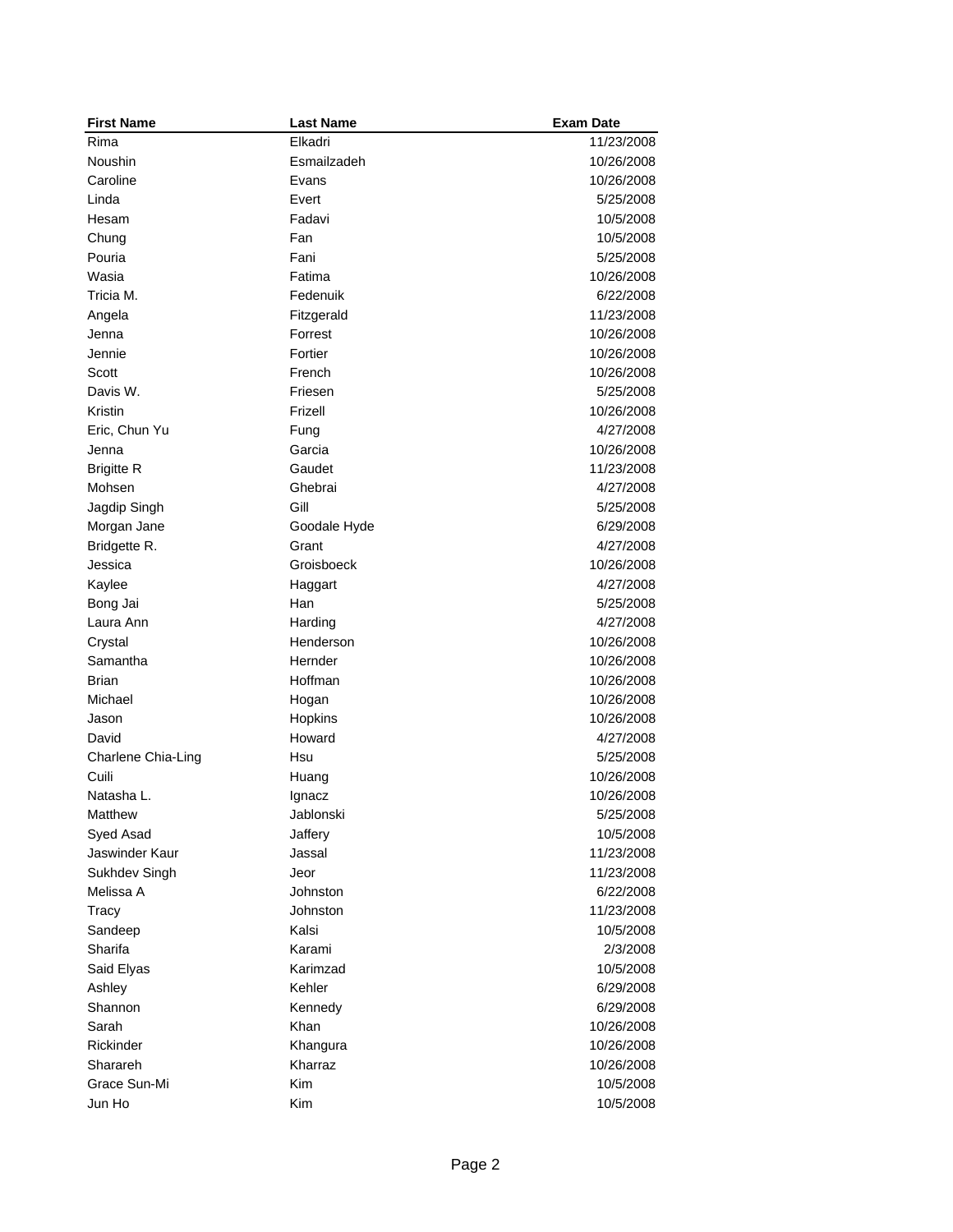| <b>First Name</b>  | <b>Last Name</b> | <b>Exam Date</b> |
|--------------------|------------------|------------------|
| Rima               | Elkadri          | 11/23/2008       |
| Noushin            | Esmailzadeh      | 10/26/2008       |
| Caroline           | Evans            | 10/26/2008       |
| Linda              | Evert            | 5/25/2008        |
| Hesam              | Fadavi           | 10/5/2008        |
| Chung              | Fan              | 10/5/2008        |
| Pouria             | Fani             | 5/25/2008        |
| Wasia              | Fatima           | 10/26/2008       |
| Tricia M.          | Fedenuik         | 6/22/2008        |
| Angela             | Fitzgerald       | 11/23/2008       |
| Jenna              | Forrest          | 10/26/2008       |
| Jennie             | Fortier          | 10/26/2008       |
| Scott              | French           | 10/26/2008       |
| Davis W.           | Friesen          | 5/25/2008        |
| Kristin            | Frizell          | 10/26/2008       |
| Eric, Chun Yu      | Fung             | 4/27/2008        |
| Jenna              | Garcia           | 10/26/2008       |
| <b>Brigitte R</b>  | Gaudet           | 11/23/2008       |
| Mohsen             | Ghebrai          | 4/27/2008        |
| Jagdip Singh       | Gill             | 5/25/2008        |
| Morgan Jane        | Goodale Hyde     | 6/29/2008        |
| Bridgette R.       | Grant            | 4/27/2008        |
| Jessica            | Groisboeck       | 10/26/2008       |
| Kaylee             | Haggart          | 4/27/2008        |
| Bong Jai           | Han              | 5/25/2008        |
| Laura Ann          | Harding          | 4/27/2008        |
| Crystal            | Henderson        | 10/26/2008       |
| Samantha           | Hernder          | 10/26/2008       |
| Brian              | Hoffman          | 10/26/2008       |
| Michael            | Hogan            | 10/26/2008       |
| Jason              | Hopkins          | 10/26/2008       |
| David              | Howard           | 4/27/2008        |
| Charlene Chia-Ling | Hsu              | 5/25/2008        |
| Cuili              | Huang            | 10/26/2008       |
| Natasha L.         | Ignacz           | 10/26/2008       |
| Matthew            | Jablonski        | 5/25/2008        |
| Syed Asad          | Jaffery          | 10/5/2008        |
| Jaswinder Kaur     | Jassal           | 11/23/2008       |
| Sukhdev Singh      | Jeor             | 11/23/2008       |
| Melissa A          | Johnston         | 6/22/2008        |
| Tracy              | Johnston         | 11/23/2008       |
| Sandeep            | Kalsi            | 10/5/2008        |
| Sharifa            | Karami           | 2/3/2008         |
| Said Elyas         | Karimzad         | 10/5/2008        |
| Ashley             | Kehler           | 6/29/2008        |
| Shannon            | Kennedy          | 6/29/2008        |
| Sarah              | Khan             | 10/26/2008       |
| Rickinder          | Khangura         | 10/26/2008       |
| Sharareh           | Kharraz          | 10/26/2008       |
| Grace Sun-Mi       | <b>Kim</b>       | 10/5/2008        |
| Jun Ho             | Kim              | 10/5/2008        |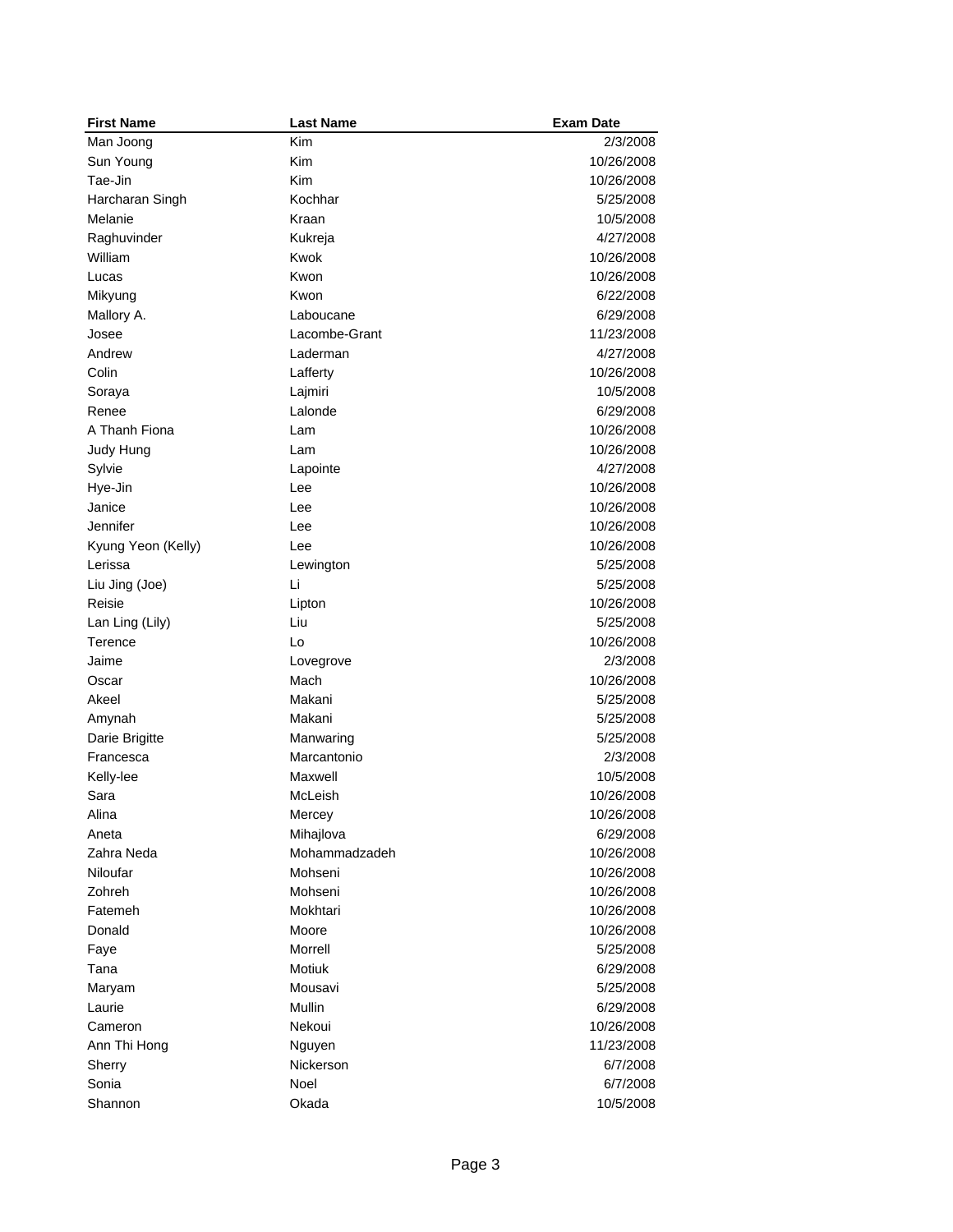| <b>First Name</b>  | <b>Last Name</b> | <b>Exam Date</b> |
|--------------------|------------------|------------------|
| Man Joong          | Kim              | 2/3/2008         |
| Sun Young          | Kim              | 10/26/2008       |
| Tae-Jin            | Kim              | 10/26/2008       |
| Harcharan Singh    | Kochhar          | 5/25/2008        |
| Melanie            | Kraan            | 10/5/2008        |
| Raghuvinder        | Kukreja          | 4/27/2008        |
| William            | Kwok             | 10/26/2008       |
| Lucas              | Kwon             | 10/26/2008       |
| Mikyung            | Kwon             | 6/22/2008        |
| Mallory A.         | Laboucane        | 6/29/2008        |
| Josee              | Lacombe-Grant    | 11/23/2008       |
| Andrew             | Laderman         | 4/27/2008        |
| Colin              | Lafferty         | 10/26/2008       |
| Soraya             | Lajmiri          | 10/5/2008        |
| Renee              | Lalonde          | 6/29/2008        |
| A Thanh Fiona      | Lam              | 10/26/2008       |
| Judy Hung          | Lam              | 10/26/2008       |
| Sylvie             | Lapointe         | 4/27/2008        |
| Hye-Jin            | Lee              | 10/26/2008       |
| Janice             | Lee              | 10/26/2008       |
| Jennifer           | Lee              | 10/26/2008       |
| Kyung Yeon (Kelly) | Lee              | 10/26/2008       |
| Lerissa            | Lewington        | 5/25/2008        |
| Liu Jing (Joe)     | Li               | 5/25/2008        |
| Reisie             | Lipton           | 10/26/2008       |
| Lan Ling (Lily)    | Liu              | 5/25/2008        |
| Terence            | Lo               | 10/26/2008       |
| Jaime              | Lovegrove        | 2/3/2008         |
| Oscar              | Mach             | 10/26/2008       |
| Akeel              | Makani           | 5/25/2008        |
| Amynah             | Makani           | 5/25/2008        |
| Darie Brigitte     | Manwaring        | 5/25/2008        |
| Francesca          | Marcantonio      | 2/3/2008         |
| Kelly-lee          | Maxwell          | 10/5/2008        |
| Sara               | McLeish          | 10/26/2008       |
| Alina              | Mercey           | 10/26/2008       |
| Aneta              | Mihajlova        | 6/29/2008        |
| Zahra Neda         | Mohammadzadeh    | 10/26/2008       |
| <b>Niloufar</b>    | Mohseni          | 10/26/2008       |
| Zohreh             | Mohseni          | 10/26/2008       |
| Fatemeh            | Mokhtari         | 10/26/2008       |
| Donald             | Moore            | 10/26/2008       |
| Faye               | Morrell          | 5/25/2008        |
| Tana               | <b>Motiuk</b>    | 6/29/2008        |
| Maryam             | Mousavi          | 5/25/2008        |
| Laurie             | Mullin           | 6/29/2008        |
| Cameron            | Nekoui           | 10/26/2008       |
| Ann Thi Hong       | Nguyen           | 11/23/2008       |
| Sherry             | Nickerson        | 6/7/2008         |
| Sonia              | Noel             | 6/7/2008         |
| Shannon            | Okada            | 10/5/2008        |
|                    |                  |                  |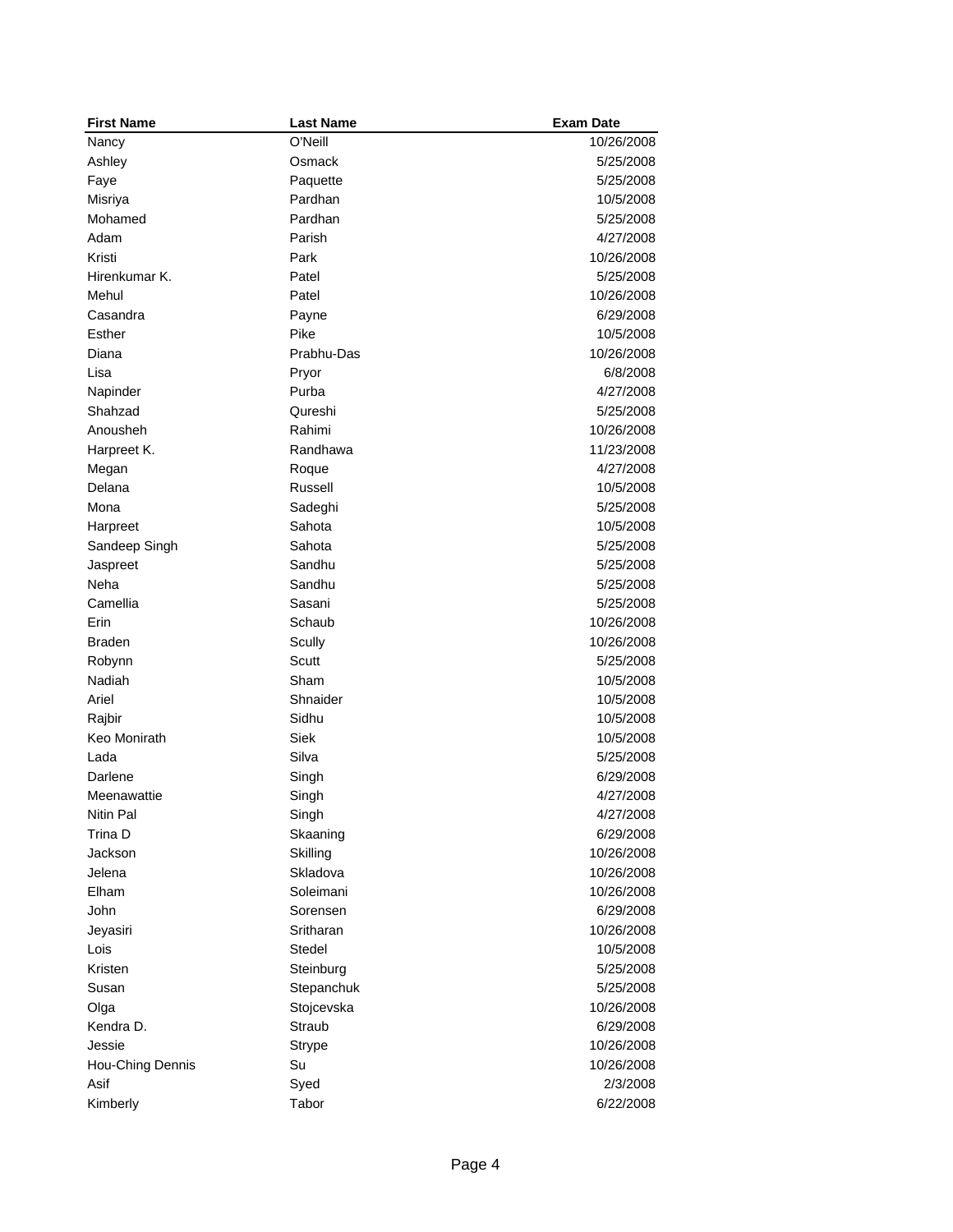| <b>First Name</b> | <b>Last Name</b> | <b>Exam Date</b> |
|-------------------|------------------|------------------|
| Nancy             | O'Neill          | 10/26/2008       |
| Ashley            | Osmack           | 5/25/2008        |
| Faye              | Paquette         | 5/25/2008        |
| Misriya           | Pardhan          | 10/5/2008        |
| Mohamed           | Pardhan          | 5/25/2008        |
| Adam              | Parish           | 4/27/2008        |
| Kristi            | Park             | 10/26/2008       |
| Hirenkumar K.     | Patel            | 5/25/2008        |
| Mehul             | Patel            | 10/26/2008       |
| Casandra          | Payne            | 6/29/2008        |
| Esther            | Pike             | 10/5/2008        |
| Diana             | Prabhu-Das       | 10/26/2008       |
| Lisa              | Pryor            | 6/8/2008         |
| Napinder          | Purba            | 4/27/2008        |
| Shahzad           | Qureshi          | 5/25/2008        |
| Anousheh          | Rahimi           | 10/26/2008       |
| Harpreet K.       | Randhawa         | 11/23/2008       |
| Megan             | Roque            | 4/27/2008        |
| Delana            | Russell          | 10/5/2008        |
| Mona              | Sadeghi          | 5/25/2008        |
| Harpreet          | Sahota           | 10/5/2008        |
| Sandeep Singh     | Sahota           | 5/25/2008        |
| Jaspreet          | Sandhu           | 5/25/2008        |
| Neha              | Sandhu           | 5/25/2008        |
| Camellia          | Sasani           | 5/25/2008        |
| Erin              | Schaub           | 10/26/2008       |
| Braden            | Scully           | 10/26/2008       |
| Robynn            | Scutt            | 5/25/2008        |
| Nadiah            | Sham             | 10/5/2008        |
| Ariel             | Shnaider         | 10/5/2008        |
| Rajbir            | Sidhu            | 10/5/2008        |
| Keo Monirath      | Siek             | 10/5/2008        |
| Lada              | Silva            | 5/25/2008        |
| Darlene           | Singh            | 6/29/2008        |
| Meenawattie       | Singh            | 4/27/2008        |
| Nitin Pal         | Singh            | 4/27/2008        |
| Trina D           | Skaaning         | 6/29/2008        |
| Jackson           | Skilling         | 10/26/2008       |
| Jelena            | Skladova         | 10/26/2008       |
| Elham             | Soleimani        | 10/26/2008       |
| John              | Sorensen         | 6/29/2008        |
| Jeyasiri          | Sritharan        | 10/26/2008       |
| Lois              | Stedel           | 10/5/2008        |
| Kristen           | Steinburg        | 5/25/2008        |
| Susan             | Stepanchuk       | 5/25/2008        |
| Olga              | Stojcevska       | 10/26/2008       |
| Kendra D.         | Straub           | 6/29/2008        |
| Jessie            | Strype           | 10/26/2008       |
| Hou-Ching Dennis  | Su               | 10/26/2008       |
| Asif              | Syed             | 2/3/2008         |
| Kimberly          | Tabor            | 6/22/2008        |